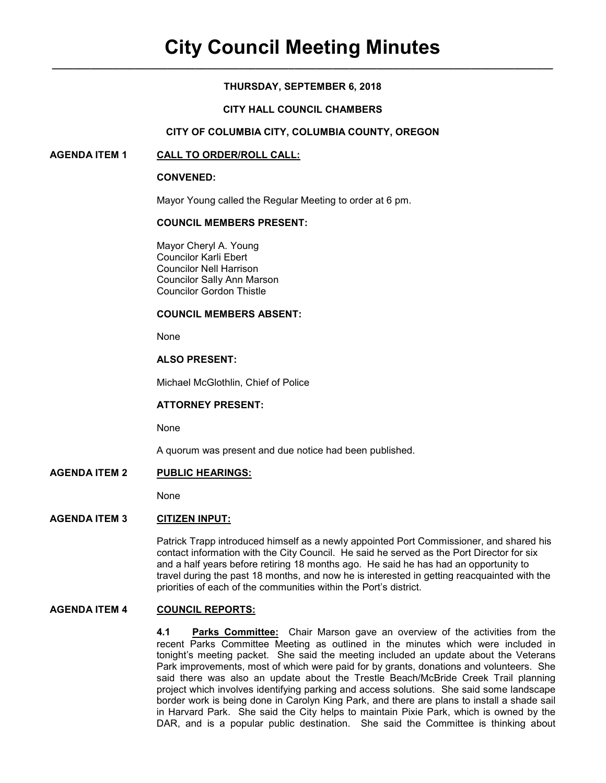# **THURSDAY, SEPTEMBER 6, 2018**

# **CITY HALL COUNCIL CHAMBERS**

# **CITY OF COLUMBIA CITY, COLUMBIA COUNTY, OREGON**

## **AGENDA ITEM 1 CALL TO ORDER/ROLL CALL:**

#### **CONVENED:**

Mayor Young called the Regular Meeting to order at 6 pm.

## **COUNCIL MEMBERS PRESENT:**

 Mayor Cheryl A. Young Councilor Karli Ebert Councilor Nell Harrison Councilor Sally Ann Marson Councilor Gordon Thistle

#### **COUNCIL MEMBERS ABSENT:**

None

# **ALSO PRESENT:**

Michael McGlothlin, Chief of Police

# **ATTORNEY PRESENT:**

None

A quorum was present and due notice had been published.

### **AGENDA ITEM 2 PUBLIC HEARINGS:**

None

## **AGENDA ITEM 3 CITIZEN INPUT:**

Patrick Trapp introduced himself as a newly appointed Port Commissioner, and shared his contact information with the City Council. He said he served as the Port Director for six and a half years before retiring 18 months ago. He said he has had an opportunity to travel during the past 18 months, and now he is interested in getting reacquainted with the priorities of each of the communities within the Port's district.

## **AGENDA ITEM 4 COUNCIL REPORTS:**

**4.1 Parks Committee:** Chair Marson gave an overview of the activities from the recent Parks Committee Meeting as outlined in the minutes which were included in tonight's meeting packet. She said the meeting included an update about the Veterans Park improvements, most of which were paid for by grants, donations and volunteers. She said there was also an update about the Trestle Beach/McBride Creek Trail planning project which involves identifying parking and access solutions. She said some landscape border work is being done in Carolyn King Park, and there are plans to install a shade sail in Harvard Park. She said the City helps to maintain Pixie Park, which is owned by the DAR, and is a popular public destination. She said the Committee is thinking about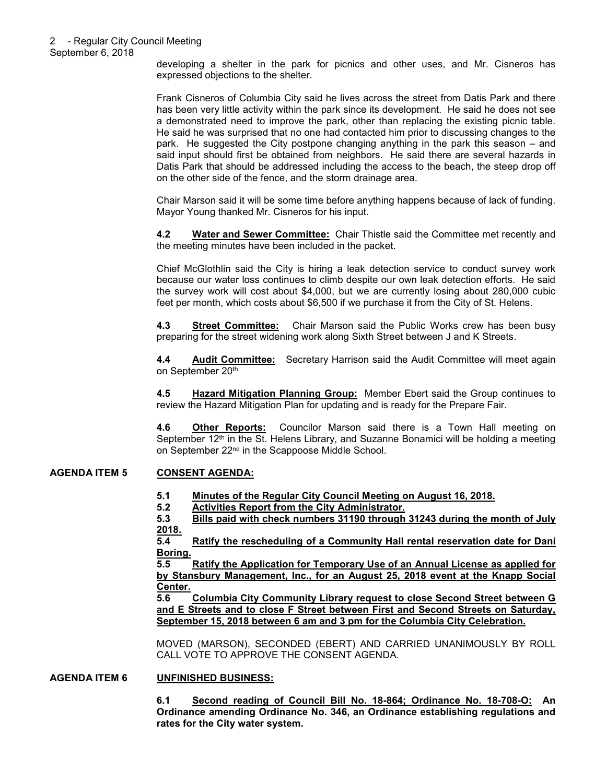developing a shelter in the park for picnics and other uses, and Mr. Cisneros has expressed objections to the shelter.

Frank Cisneros of Columbia City said he lives across the street from Datis Park and there has been very little activity within the park since its development. He said he does not see a demonstrated need to improve the park, other than replacing the existing picnic table. He said he was surprised that no one had contacted him prior to discussing changes to the park. He suggested the City postpone changing anything in the park this season – and said input should first be obtained from neighbors. He said there are several hazards in Datis Park that should be addressed including the access to the beach, the steep drop off on the other side of the fence, and the storm drainage area.

Chair Marson said it will be some time before anything happens because of lack of funding. Mayor Young thanked Mr. Cisneros for his input.

**4.2 Water and Sewer Committee:** Chair Thistle said the Committee met recently and the meeting minutes have been included in the packet.

Chief McGlothlin said the City is hiring a leak detection service to conduct survey work because our water loss continues to climb despite our own leak detection efforts. He said the survey work will cost about \$4,000, but we are currently losing about 280,000 cubic feet per month, which costs about \$6,500 if we purchase it from the City of St. Helens.

**4.3 Street Committee:** Chair Marson said the Public Works crew has been busy preparing for the street widening work along Sixth Street between J and K Streets.

**4.4 Audit Committee:** Secretary Harrison said the Audit Committee will meet again on September 20<sup>th</sup>

**4.5 Hazard Mitigation Planning Group:** Member Ebert said the Group continues to review the Hazard Mitigation Plan for updating and is ready for the Prepare Fair.

**4.6 Other Reports:** Councilor Marson said there is a Town Hall meeting on September  $12<sup>th</sup>$  in the St. Helens Library, and Suzanne Bonamici will be holding a meeting on September 22<sup>nd</sup> in the Scappoose Middle School.

# **AGENDA ITEM 5 CONSENT AGENDA:**

- **5.1 Minutes of the Regular City Council Meeting on August 16, 2018.**
- **5.2 Activities Report from the City Administrator.**

**5.3 Bills paid with check numbers 31190 through 31243 during the month of July 2018.** 

**5.4 Ratify the rescheduling of a Community Hall rental reservation date for Dani Boring.** 

**5.5 Ratify the Application for Temporary Use of an Annual License as applied for by Stansbury Management, Inc., for an August 25, 2018 event at the Knapp Social Center.** 

**5.6 Columbia City Community Library request to close Second Street between G and E Streets and to close F Street between First and Second Streets on Saturday, September 15, 2018 between 6 am and 3 pm for the Columbia City Celebration.** 

MOVED (MARSON), SECONDED (EBERT) AND CARRIED UNANIMOUSLY BY ROLL CALL VOTE TO APPROVE THE CONSENT AGENDA.

#### **AGENDA ITEM 6 UNFINISHED BUSINESS:**

**6.1 Second reading of Council Bill No. 18-864; Ordinance No. 18-708-O: An Ordinance amending Ordinance No. 346, an Ordinance establishing regulations and rates for the City water system.**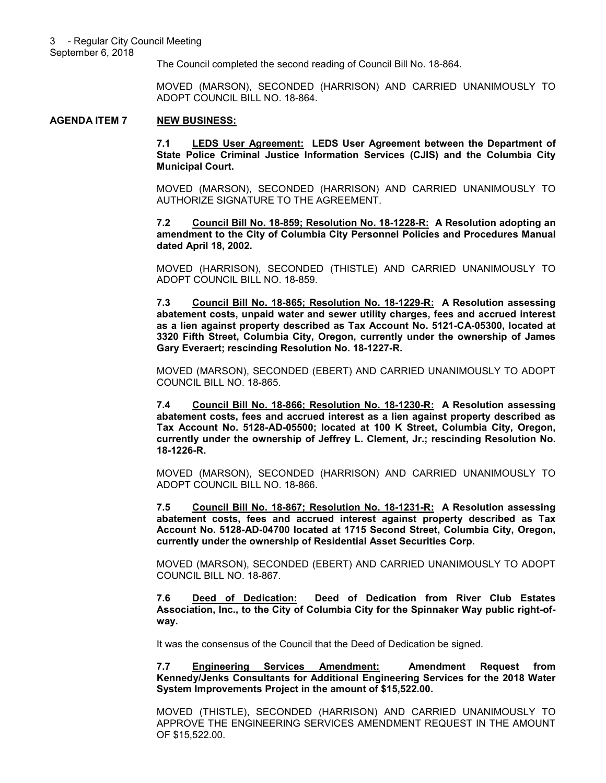The Council completed the second reading of Council Bill No. 18-864.

MOVED (MARSON), SECONDED (HARRISON) AND CARRIED UNANIMOUSLY TO ADOPT COUNCIL BILL NO. 18-864.

#### **AGENDA ITEM 7 NEW BUSINESS:**

**7.1 LEDS User Agreement: LEDS User Agreement between the Department of State Police Criminal Justice Information Services (CJIS) and the Columbia City Municipal Court.** 

MOVED (MARSON), SECONDED (HARRISON) AND CARRIED UNANIMOUSLY TO AUTHORIZE SIGNATURE TO THE AGREEMENT.

**7.2 Council Bill No. 18-859; Resolution No. 18-1228-R: A Resolution adopting an amendment to the City of Columbia City Personnel Policies and Procedures Manual dated April 18, 2002.** 

MOVED (HARRISON), SECONDED (THISTLE) AND CARRIED UNANIMOUSLY TO ADOPT COUNCIL BILL NO. 18-859.

**7.3 Council Bill No. 18-865; Resolution No. 18-1229-R: A Resolution assessing abatement costs, unpaid water and sewer utility charges, fees and accrued interest as a lien against property described as Tax Account No. 5121-CA-05300, located at 3320 Fifth Street, Columbia City, Oregon, currently under the ownership of James Gary Everaert; rescinding Resolution No. 18-1227-R.**

MOVED (MARSON), SECONDED (EBERT) AND CARRIED UNANIMOUSLY TO ADOPT COUNCIL BILL NO. 18-865.

**7.4 Council Bill No. 18-866; Resolution No. 18-1230-R: A Resolution assessing abatement costs, fees and accrued interest as a lien against property described as Tax Account No. 5128-AD-05500; located at 100 K Street, Columbia City, Oregon, currently under the ownership of Jeffrey L. Clement, Jr.; rescinding Resolution No. 18-1226-R.** 

MOVED (MARSON), SECONDED (HARRISON) AND CARRIED UNANIMOUSLY TO ADOPT COUNCIL BILL NO. 18-866.

**7.5 Council Bill No. 18-867; Resolution No. 18-1231-R: A Resolution assessing abatement costs, fees and accrued interest against property described as Tax Account No. 5128-AD-04700 located at 1715 Second Street, Columbia City, Oregon, currently under the ownership of Residential Asset Securities Corp.** 

MOVED (MARSON), SECONDED (EBERT) AND CARRIED UNANIMOUSLY TO ADOPT COUNCIL BILL NO. 18-867.

**7.6 Deed of Dedication: Deed of Dedication from River Club Estates Association, Inc., to the City of Columbia City for the Spinnaker Way public right-ofway.**

It was the consensus of the Council that the Deed of Dedication be signed.

**7.7 Engineering Services Amendment: Amendment Request from Kennedy/Jenks Consultants for Additional Engineering Services for the 2018 Water System Improvements Project in the amount of \$15,522.00.** 

MOVED (THISTLE), SECONDED (HARRISON) AND CARRIED UNANIMOUSLY TO APPROVE THE ENGINEERING SERVICES AMENDMENT REQUEST IN THE AMOUNT OF \$15,522.00.